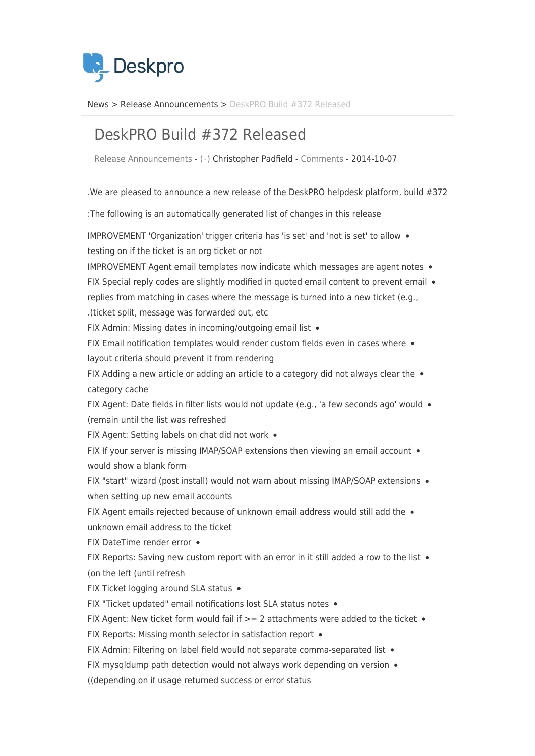

News> Release Announcements > DeskPRO Build #372 Released

## DeskPRO Build #372 Released

Release Announcements - ( · ) Christopher Padfield - [Comments](#page--1-0) - 2014-10-07

. We are pleased to announce a new release of the DeskPRO helpdesk platform, build  $#372$ 

: The following is an automatically generated list of changes in this release

IMPROVEMENT 'Organization' trigger criteria has 'is set' and 'not is set' to allow . testing on if the ticket is an org ticket or not

IMPROVEMENT Agent email templates now indicate which messages are agent notes  $\bullet$ 

FIX Special reply codes are slightly modified in quoted email content to prevent email  $\bullet$ replies from matching in cases where the message is turned into a new ticket (e.g.,

ticket split, message was forwarded out, etc.

FIX Admin: Missing dates in incoming/outgoing email list .

FIX Email notification templates would render custom fields even in cases where  $\bullet$ layout criteria should prevent it from rendering

FIX Adding a new article or adding an article to a category did not always clear the  $\bullet$ category cache

FIX Agent: Date fields in filter lists would not update (e.g., 'a few seconds ago' would • (remain until the list was refreshed

FIX Agent: Setting labels on chat did not work .

FIX If your server is missing IMAP/SOAP extensions then viewing an email account  $\bullet$ would show a blank form

FIX "start" wizard (post install) would not warn about missing IMAP/SOAP extensions . when setting up new email accounts

FIX Agent emails rejected because of unknown email address would still add the  $\bullet$ 

unknown email address to the ticket

FIX DateTime render error •

FIX Reports: Saving new custom report with an error in it still added a row to the list  $\bullet$ (on the left (until refresh

FIX Ticket logging around SLA status .

FIX "Ticket updated" email notifications lost SLA status notes .

FIX Agent: New ticket form would fail if  $>= 2$  attachments were added to the ticket  $\bullet$ 

FIX Reports: Missing month selector in satisfaction report  $\bullet$ 

FIX Admin: Filtering on label field would not separate comma-separated list .

FIX mysqldump path detection would not always work depending on version  $\bullet$ 

((depending on if usage returned success or error status)